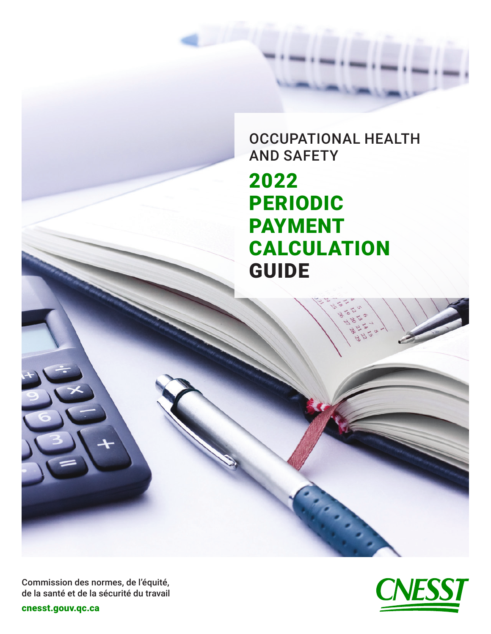OCCUPATIONAL HEALTH AND SAFETY 2022 PERIODIC PAYMENT CALCULATION **GUIDE** 



[cnesst.gouv.qc.ca](https://www.cnesst.gouv.qc.ca)

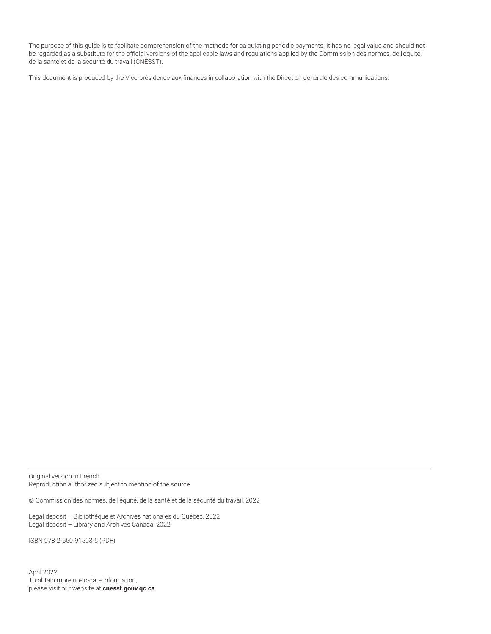The purpose of this guide is to facilitate comprehension of the methods for calculating periodic payments. It has no legal value and should not be regarded as a substitute for the official versions of the applicable laws and regulations applied by the Commission des normes, de l'équité, de la santé et de la sécurité du travail (CNESST).

This document is produced by the Vice-présidence aux finances in collaboration with the Direction générale des communications.

Original version in French Reproduction authorized subject to mention of the source

© Commission des normes, de l'équité, de la santé et de la sécurité du travail, 2022

Legal deposit – Bibliothèque et Archives nationales du Québec, 2022 Legal deposit – Library and Archives Canada, 2022

ISBN 978-2-550-91593-5 (PDF)

April 2022 To obtain more up-to-date information, please visit our website at **[cnesst.gouv.qc.ca](https://www.cnesst.gouv.qc.ca)**.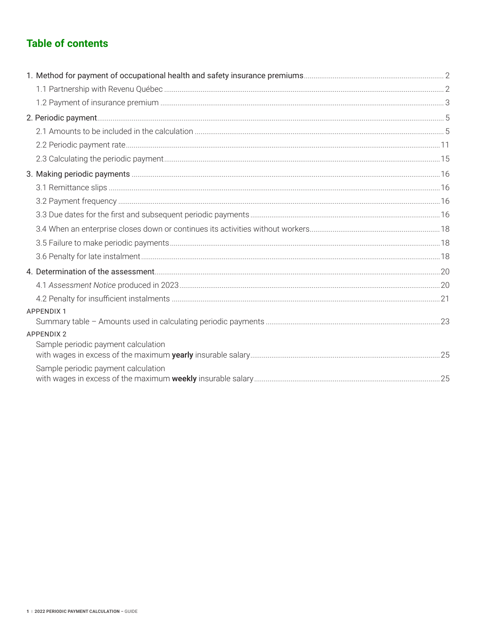# **Table of contents**

| <b>APPENDIX 1</b>                                        |  |
|----------------------------------------------------------|--|
|                                                          |  |
| <b>APPENDIX 2</b><br>Sample periodic payment calculation |  |
|                                                          |  |
| Sample periodic payment calculation                      |  |
|                                                          |  |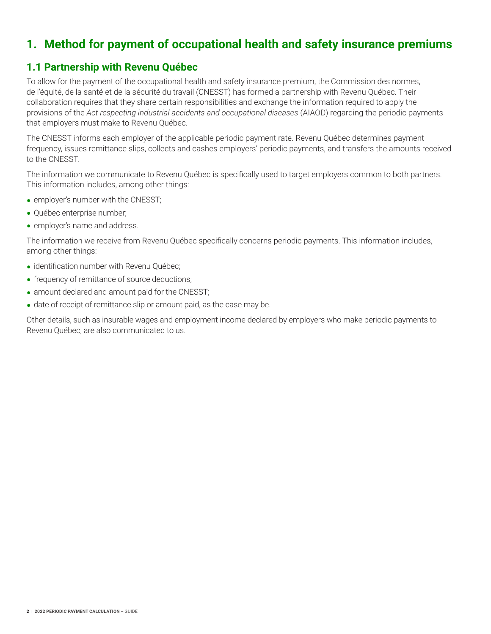# <span id="page-3-0"></span>**1. Method for payment of occupational health and safety insurance premiums**

## **1.1 Partnership with Revenu Québec**

To allow for the payment of the occupational health and safety insurance premium, the Commission des normes, de l'équité, de la santé et de la sécurité du travail (CNESST) has formed a partnership with Revenu Québec. Their collaboration requires that they share certain responsibilities and exchange the information required to apply the provisions of the *Act respecting industrial accidents and occupational diseases* (AIAOD) regarding the periodic payments that employers must make to Revenu Québec.

The CNESST informs each employer of the applicable periodic payment rate. Revenu Québec determines payment frequency, issues remittance slips, collects and cashes employers' periodic payments, and transfers the amounts received to the CNESST.

The information we communicate to Revenu Québec is specifically used to target employers common to both partners. This information includes, among other things:

- employer's number with the CNESST;
- **•** Québec enterprise number;
- employer's name and address.

The information we receive from Revenu Québec specifically concerns periodic payments. This information includes, among other things:

- identification number with Revenu Québec;
- frequency of remittance of source deductions;
- amount declared and amount paid for the CNESST;
- date of receipt of remittance slip or amount paid, as the case may be.

Other details, such as insurable wages and employment income declared by employers who make periodic payments to Revenu Québec, are also communicated to us.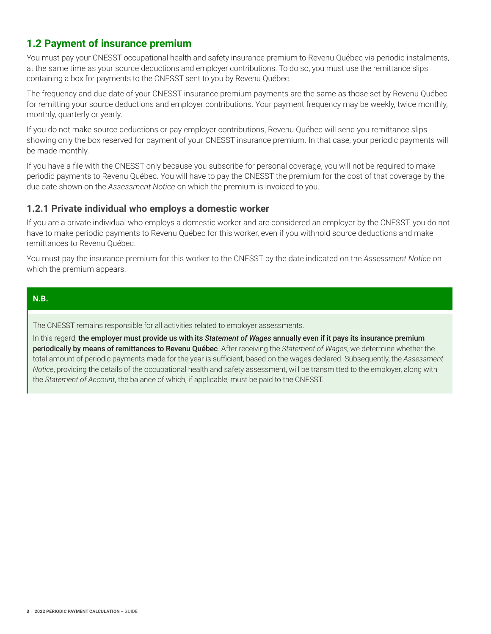# <span id="page-4-0"></span>**1.2 Payment of insurance premium**

You must pay your CNESST occupational health and safety insurance premium to Revenu Québec via periodic instalments, at the same time as your source deductions and employer contributions. To do so, you must use the remittance slips containing a box for payments to the CNESST sent to you by Revenu Québec.

The frequency and due date of your CNESST insurance premium payments are the same as those set by Revenu Québec for remitting your source deductions and employer contributions. Your payment frequency may be weekly, twice monthly, monthly, quarterly or yearly.

If you do not make source deductions or pay employer contributions, Revenu Québec will send you remittance slips showing only the box reserved for payment of your CNESST insurance premium. In that case, your periodic payments will be made monthly.

If you have a file with the CNESST only because you subscribe for personal coverage, you will not be required to make periodic payments to Revenu Québec. You will have to pay the CNESST the premium for the cost of that coverage by the due date shown on the *Assessment Notice* on which the premium is invoiced to you.

## **1.2.1 Private individual who employs a domestic worker**

If you are a private individual who employs a domestic worker and are considered an employer by the CNESST, you do not have to make periodic payments to Revenu Québec for this worker, even if you withhold source deductions and make remittances to Revenu Québec.

You must pay the insurance premium for this worker to the CNESST by the date indicated on the *Assessment Notice* on which the premium appears.

## **N.B.**

The CNESST remains responsible for all activities related to employer assessments.

In this regard, the employer must provide us with its *Statement of Wages* annually even if it pays its insurance premium periodically by means of remittances to Revenu Québec. After receiving the *Statement of Wages*, we determine whether the total amount of periodic payments made for the year is sufficient, based on the wages declared. Subsequently, the *Assessment Notice*, providing the details of the occupational health and safety assessment, will be transmitted to the employer, along with the *Statement of Account*, the balance of which, if applicable, must be paid to the CNESST.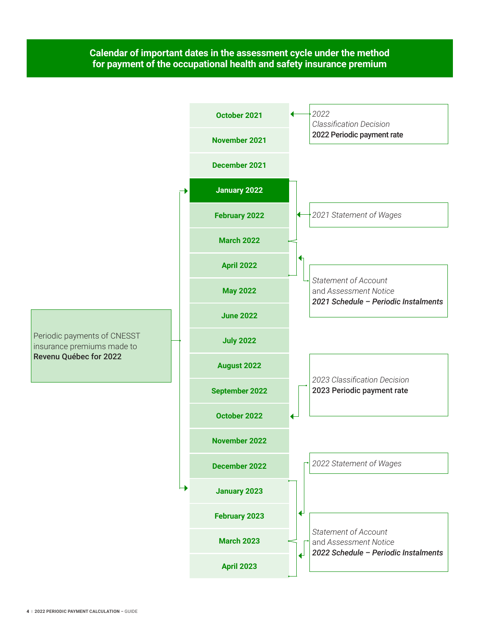## **Calendar of important dates in the assessment cycle under the method for payment of the occupational health and safety insurance premium**

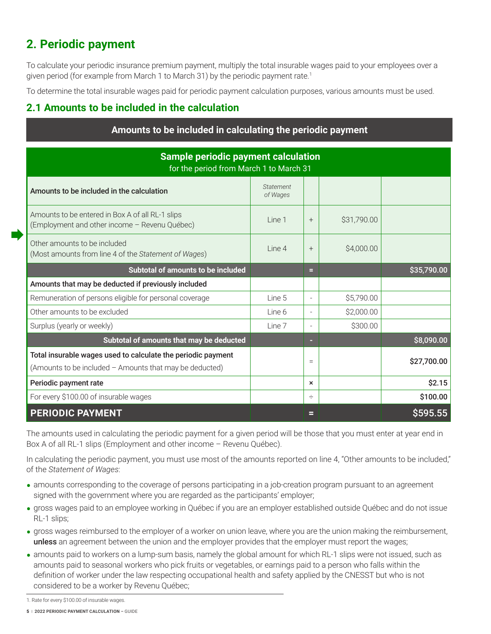# <span id="page-6-0"></span>**2. Periodic payment**

To calculate your periodic insurance premium payment, multiply the total insurable wages paid to your employees over a given period (for example from March 1 to March 31) by the periodic payment rate.<sup>1</sup>

To determine the total insurable wages paid for periodic payment calculation purposes, various amounts must be used.

# **2.1 Amounts to be included in the calculation**

| Amounts to be included in calculating the periodic payment                                                              |                       |                          |             |             |  |  |
|-------------------------------------------------------------------------------------------------------------------------|-----------------------|--------------------------|-------------|-------------|--|--|
| <b>Sample periodic payment calculation</b><br>for the period from March 1 to March 31                                   |                       |                          |             |             |  |  |
| Amounts to be included in the calculation                                                                               | Statement<br>of Wages |                          |             |             |  |  |
| Amounts to be entered in Box A of all RL-1 slips<br>(Employment and other income - Revenu Québec)                       | Line 1                | $^{+}$                   | \$31,790.00 |             |  |  |
| Other amounts to be included<br>(Most amounts from line 4 of the Statement of Wages)                                    | Line 4                | $^{+}$                   | \$4,000.00  |             |  |  |
| Subtotal of amounts to be included                                                                                      |                       | Ξ                        |             | \$35,790.00 |  |  |
| Amounts that may be deducted if previously included                                                                     |                       |                          |             |             |  |  |
| Remuneration of persons eligible for personal coverage                                                                  | Line 5                | $\overline{\phantom{a}}$ | \$5,790.00  |             |  |  |
| Other amounts to be excluded                                                                                            | Line 6                |                          | \$2,000.00  |             |  |  |
| Surplus (yearly or weekly)                                                                                              | Line 7                | ۰                        | \$300.00    |             |  |  |
| Subtotal of amounts that may be deducted                                                                                |                       |                          |             | \$8,090.00  |  |  |
| Total insurable wages used to calculate the periodic payment<br>(Amounts to be included - Amounts that may be deducted) |                       | $\equiv$                 |             | \$27,700.00 |  |  |
| Periodic payment rate                                                                                                   |                       | ×                        |             | \$2.15      |  |  |
| For every \$100.00 of insurable wages                                                                                   |                       | ÷                        |             | \$100.00    |  |  |
| <b>PERIODIC PAYMENT</b>                                                                                                 |                       | ⊟                        |             | \$595.55    |  |  |

The amounts used in calculating the periodic payment for a given period will be those that you must enter at year end in Box A of all RL-1 slips (Employment and other income – Revenu Québec).

In calculating the periodic payment, you must use most of the amounts reported on line 4, "Other amounts to be included," of the *Statement of Wages*:

- amounts corresponding to the coverage of persons participating in a job-creation program pursuant to an agreement signed with the government where you are regarded as the participants' employer;
- **•** gross wages paid to an employee working in Québec if you are an employer established outside Québec and do not issue RL-1 slips;
- **•** gross wages reimbursed to the employer of a worker on union leave, where you are the union making the reimbursement, unless an agreement between the union and the employer provides that the employer must report the wages;
- amounts paid to workers on a lump-sum basis, namely the global amount for which RL-1 slips were not issued, such as amounts paid to seasonal workers who pick fruits or vegetables, or earnings paid to a person who falls within the definition of worker under the law respecting occupational health and safety applied by the CNESST but who is not considered to be a worker by Revenu Québec;

<sup>1.</sup> Rate for every \$100.00 of insurable wages.

**<sup>5</sup>** | **2022 Periodic payment calculation** *–* guide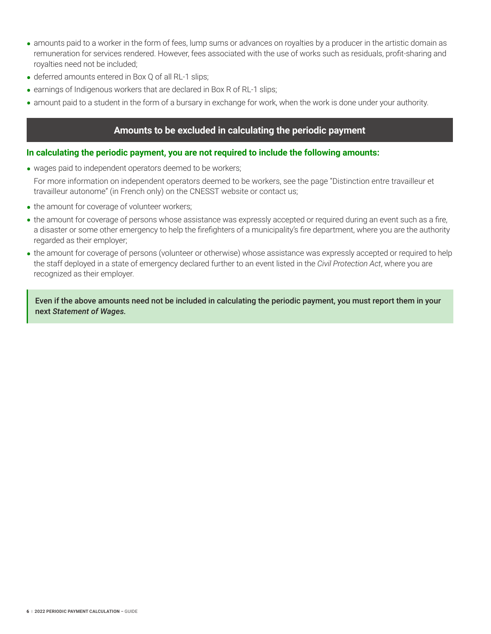- **•** amounts paid to a worker in the form of fees, lump sums or advances on royalties by a producer in the artistic domain as remuneration for services rendered. However, fees associated with the use of works such as residuals, profit-sharing and royalties need not be included;
- deferred amounts entered in Box Q of all RL-1 slips;
- earnings of Indigenous workers that are declared in Box R of RL-1 slips;
- amount paid to a student in the form of a bursary in exchange for work, when the work is done under your authority.

## **Amounts to be excluded in calculating the periodic payment**

#### **In calculating the periodic payment, you are not required to include the following amounts:**

- wages paid to independent operators deemed to be workers; For more information on independent operators deemed to be workers, see the page "Distinction entre travailleur et travailleur autonome" (in French only) on the CNESST website or contact us;
- the amount for coverage of volunteer workers;
- the amount for coverage of persons whose assistance was expressly accepted or required during an event such as a fire, a disaster or some other emergency to help the firefighters of a municipality's fire department, where you are the authority regarded as their employer;
- the amount for coverage of persons (volunteer or otherwise) whose assistance was expressly accepted or required to help the staff deployed in a state of emergency declared further to an event listed in the *Civil Protection Act*, where you are recognized as their employer.

Even if the above amounts need not be included in calculating the periodic payment, you must report them in your next *Statement of Wages.*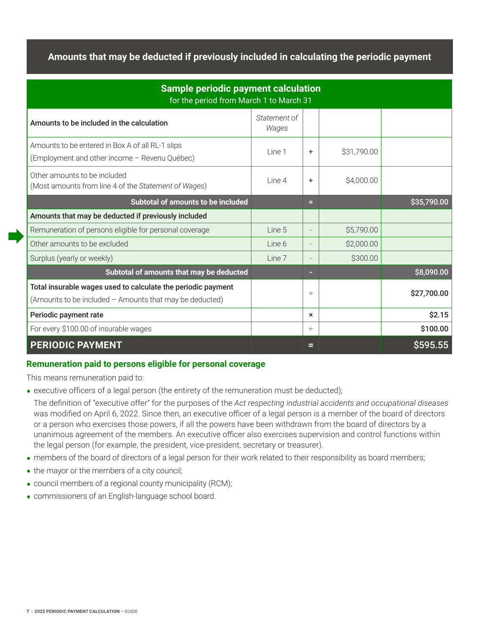## **Amounts that may be deducted if previously included in calculating the periodic payment**

| <b>Sample periodic payment calculation</b><br>for the period from March 1 to March 31                                   |                       |                |             |             |  |  |
|-------------------------------------------------------------------------------------------------------------------------|-----------------------|----------------|-------------|-------------|--|--|
| Amounts to be included in the calculation                                                                               | Statement of<br>Wages |                |             |             |  |  |
| Amounts to be entered in Box A of all RL-1 slips<br>(Employment and other income - Revenu Québec)                       | Line 1                | $\ddot{}$      | \$31,790.00 |             |  |  |
| Other amounts to be included<br>(Most amounts from line 4 of the Statement of Wages)                                    | Line 4                | $\ddot{}$      | \$4,000.00  |             |  |  |
| Subtotal of amounts to be included                                                                                      |                       | е              |             | \$35,790.00 |  |  |
| Amounts that may be deducted if previously included                                                                     |                       |                |             |             |  |  |
| Remuneration of persons eligible for personal coverage                                                                  | Line 5                |                | \$5,790.00  |             |  |  |
| Other amounts to be excluded                                                                                            | Line 6                |                | \$2,000.00  |             |  |  |
| Surplus (yearly or weekly)                                                                                              | Line 7                | $\overline{a}$ | \$300.00    |             |  |  |
| Subtotal of amounts that may be deducted                                                                                |                       | -              |             | \$8,090.00  |  |  |
| Total insurable wages used to calculate the periodic payment<br>(Amounts to be included - Amounts that may be deducted) |                       | $=$            |             | \$27,700.00 |  |  |
| Periodic payment rate                                                                                                   |                       | $\times$       |             | \$2.15      |  |  |
| For every \$100.00 of insurable wages                                                                                   |                       | ÷              |             | \$100.00    |  |  |
| <b>PERIODIC PAYMENT</b>                                                                                                 |                       | Е              |             | \$595.55    |  |  |

## **Remuneration paid to persons eligible for personal coverage**

This means remuneration paid to:

• executive officers of a legal person (the entirety of the remuneration must be deducted);

The definition of "executive offer" for the purposes of the *Act respecting industrial accidents and occupational diseases* was modified on April 6, 2022. Since then, an executive officer of a legal person is a member of the board of directors or a person who exercises those powers, if all the powers have been withdrawn from the board of directors by a unanimous agreement of the members. An executive officer also exercises supervision and control functions within the legal person (for example, the president, vice-president, secretary or treasurer).

- members of the board of directors of a legal person for their work related to their responsibility as board members;
- the mayor or the members of a city council;
- **•** council members of a regional county municipality (RCM);
- **•** commissioners of an English-language school board.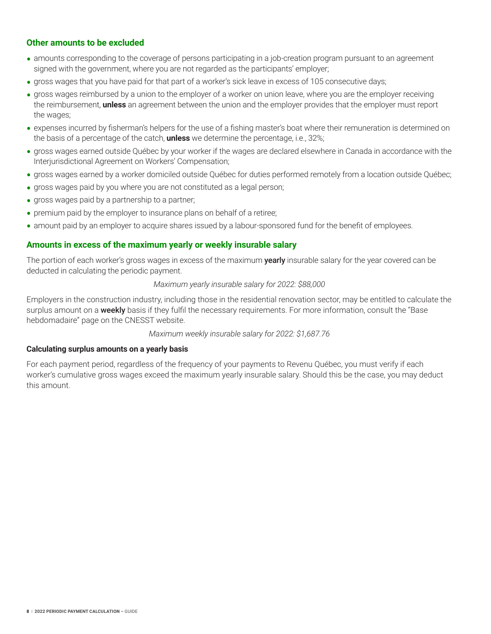## **Other amounts to be excluded**

- amounts corresponding to the coverage of persons participating in a job-creation program pursuant to an agreement signed with the government, where you are not regarded as the participants' employer;
- gross wages that you have paid for that part of a worker's sick leave in excess of 105 consecutive days;
- **•** gross wages reimbursed by a union to the employer of a worker on union leave, where you are the employer receiving the reimbursement, **unless** an agreement between the union and the employer provides that the employer must report the wages;
- expenses incurred by fisherman's helpers for the use of a fishing master's boat where their remuneration is determined on the basis of a percentage of the catch, **unless** we determine the percentage, i.e., 32%;
- **•** gross wages earned outside Québec by your worker if the wages are declared elsewhere in Canada in accordance with the Interjurisdictional Agreement on Workers' Compensation;
- gross wages earned by a worker domiciled outside Québec for duties performed remotely from a location outside Québec;
- gross wages paid by you where you are not constituted as a legal person;
- gross wages paid by a partnership to a partner;
- premium paid by the employer to insurance plans on behalf of a retiree;
- amount paid by an employer to acquire shares issued by a labour-sponsored fund for the benefit of employees.

### **Amounts in excess of the maximum yearly or weekly insurable salary**

The portion of each worker's gross wages in excess of the maximum **yearly** insurable salary for the year covered can be deducted in calculating the periodic payment.

#### *Maximum yearly insurable salary for 2022: \$88,000*

Employers in the construction industry, including those in the residential renovation sector, may be entitled to calculate the surplus amount on a weekly basis if they fulfil the necessary requirements. For more information, consult the "Base hebdomadaire" page on the CNESST website.

*Maximum weekly insurable salary for 2022: \$1,687.76*

#### **Calculating surplus amounts on a yearly basis**

For each payment period, regardless of the frequency of your payments to Revenu Québec, you must verify if each worker's cumulative gross wages exceed the maximum yearly insurable salary. Should this be the case, you may deduct this amount.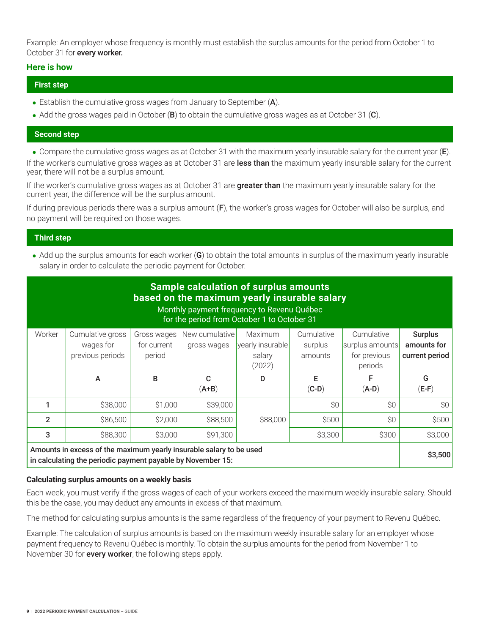Example: An employer whose frequency is monthly must establish the surplus amounts for the period from October 1 to October 31 for every worker.

### **Here is how**

### **First step**

- Establish the cumulative gross wages from January to September (A).
- Add the gross wages paid in October (B) to obtain the cumulative gross wages as at October 31 (C).

### **Second step**

• Compare the cumulative gross wages as at October 31 with the maximum yearly insurable salary for the current year (E). If the worker's cumulative gross wages as at October 31 are less than the maximum yearly insurable salary for the current year, there will not be a surplus amount.

If the worker's cumulative gross wages as at October 31 are greater than the maximum yearly insurable salary for the current year, the difference will be the surplus amount.

If during previous periods there was a surplus amount (F), the worker's gross wages for October will also be surplus, and no payment will be required on those wages.

## **Third step**

• Add up the surplus amounts for each worker (G) to obtain the total amounts in surplus of the maximum yearly insurable salary in order to calculate the periodic payment for October.

| <b>Sample calculation of surplus amounts</b><br>based on the maximum yearly insurable salary<br>Monthly payment frequency to Revenu Québec<br>for the period from October 1 to October 31 |                                                   |                                      |                               |                                                 |                                  |                                                          |                                                 |
|-------------------------------------------------------------------------------------------------------------------------------------------------------------------------------------------|---------------------------------------------------|--------------------------------------|-------------------------------|-------------------------------------------------|----------------------------------|----------------------------------------------------------|-------------------------------------------------|
| Worker                                                                                                                                                                                    | Cumulative gross<br>wages for<br>previous periods | Gross wages<br>for current<br>period | New cumulative<br>gross wages | Maximum<br>yearly insurable<br>salary<br>(2022) | Cumulative<br>surplus<br>amounts | Cumulative<br>surplus amounts<br>for previous<br>periods | <b>Surplus</b><br>amounts for<br>current period |
|                                                                                                                                                                                           | A                                                 | B                                    | C<br>$(A+B)$                  | D                                               | F<br>$(C-D)$                     | F<br>$(A-D)$                                             | G<br>$(E-F)$                                    |
|                                                                                                                                                                                           | \$38,000                                          | \$1,000                              | \$39,000                      |                                                 | \$0                              | \$0                                                      | \$0                                             |
| $\mathfrak{p}$                                                                                                                                                                            | \$86,500                                          | \$2,000                              | \$88,500                      | \$88,000                                        | \$500                            | \$0                                                      | \$500                                           |
| 3                                                                                                                                                                                         | \$88,300                                          | \$3,000                              | \$91,300                      |                                                 | \$3,300                          | \$300                                                    | \$3,000                                         |
| Amounts in excess of the maximum yearly insurable salary to be used<br>in calculating the periodic payment payable by November 15:                                                        |                                                   |                                      |                               |                                                 |                                  | \$3,500                                                  |                                                 |

### **Calculating surplus amounts on a weekly basis**

Each week, you must verify if the gross wages of each of your workers exceed the maximum weekly insurable salary. Should this be the case, you may deduct any amounts in excess of that maximum.

The method for calculating surplus amounts is the same regardless of the frequency of your payment to Revenu Québec.

Example: The calculation of surplus amounts is based on the maximum weekly insurable salary for an employer whose payment frequency to Revenu Québec is monthly. To obtain the surplus amounts for the period from November 1 to November 30 for **every worker**, the following steps apply.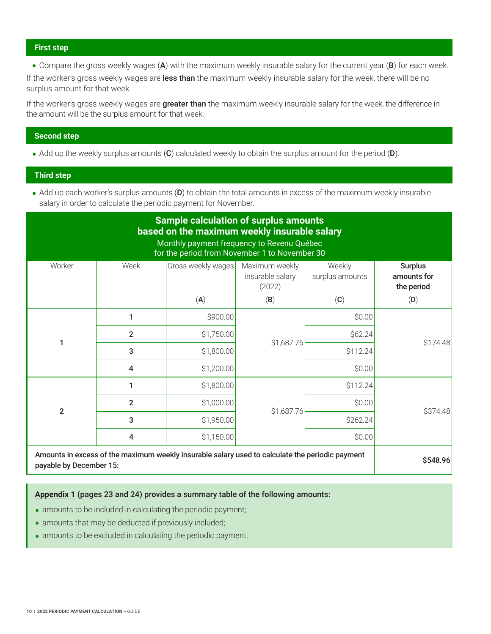#### **First step**

• Compare the gross weekly wages (A) with the maximum weekly insurable salary for the current year (B) for each week.

If the worker's gross weekly wages are less than the maximum weekly insurable salary for the week, there will be no surplus amount for that week.

If the worker's gross weekly wages are **greater than** the maximum weekly insurable salary for the week, the difference in the amount will be the surplus amount for that week.

#### **Second step**

• Add up the weekly surplus amounts (C) calculated weekly to obtain the surplus amount for the period (D).

#### **Third step**

• Add up each worker's surplus amounts (D) to obtain the total amounts in excess of the maximum weekly insurable salary in order to calculate the periodic payment for November.

# **Sample calculation of surplus amounts based on the maximum weekly insurable salary**

### Monthly payment frequency to Revenu Québec for the period from November 1 to November 30

| Worker                  | Week                                  | Gross weekly wages                                                                              | Maximum weekly<br>insurable salary<br>(2022) | Weekly<br>surplus amounts | <b>Surplus</b><br>amounts for<br>the period |
|-------------------------|---------------------------------------|-------------------------------------------------------------------------------------------------|----------------------------------------------|---------------------------|---------------------------------------------|
|                         |                                       | (A)                                                                                             | (B)                                          | (C)                       | (D)                                         |
|                         | 1                                     | \$900.00                                                                                        |                                              | \$0.00                    |                                             |
| 1                       | $\overline{2}$                        | \$1,750.00                                                                                      | \$1,687.76                                   | \$62.24                   | \$174.48                                    |
|                         | 3                                     | \$1,800.00                                                                                      |                                              | \$112.24                  |                                             |
|                         | \$1,200.00<br>$\overline{\mathbf{4}}$ | \$0.00                                                                                          |                                              |                           |                                             |
|                         | 1                                     | \$1,800.00                                                                                      |                                              | \$112.24                  |                                             |
| $\overline{2}$          | $\overline{2}$                        | \$1,000.00                                                                                      |                                              | \$0.00                    | \$374.48                                    |
|                         | 3                                     | \$1,950.00                                                                                      | \$1,687.76                                   | \$262.24                  |                                             |
|                         | \$1,150.00<br>4                       |                                                                                                 | \$0.00                                       |                           |                                             |
| payable by December 15: |                                       | Amounts in excess of the maximum weekly insurable salary used to calculate the periodic payment |                                              |                           | \$548.96                                    |

**[Appendix 1](#page-24-0)** (pages 23 and 24) provides a summary table of the following amounts:

- amounts to be included in calculating the periodic payment;
- amounts that may be deducted if previously included;
- amounts to be excluded in calculating the periodic payment.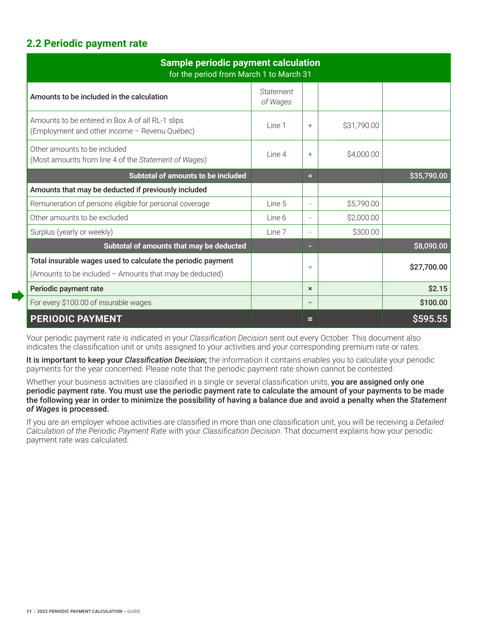# <span id="page-12-0"></span>**2.2 Periodic payment rate**

| <b>Sample periodic payment calculation</b><br>for the period from March 1 to March 31                                   |                       |                          |             |             |  |  |
|-------------------------------------------------------------------------------------------------------------------------|-----------------------|--------------------------|-------------|-------------|--|--|
| Amounts to be included in the calculation                                                                               | Statement<br>of Wages |                          |             |             |  |  |
| Amounts to be entered in Box A of all RL-1 slips<br>(Employment and other income - Revenu Québec)                       | Line 1                | $^{+}$                   | \$31,790.00 |             |  |  |
| Other amounts to be included<br>(Most amounts from line 4 of the Statement of Wages)                                    | Line 4                | $^{+}$                   | \$4,000.00  |             |  |  |
| Subtotal of amounts to be included                                                                                      |                       | е                        |             | \$35,790.00 |  |  |
| Amounts that may be deducted if previously included                                                                     |                       |                          |             |             |  |  |
| Remuneration of persons eligible for personal coverage                                                                  | Line 5                | $\overline{\phantom{a}}$ | \$5,790.00  |             |  |  |
| Other amounts to be excluded                                                                                            | Line 6                | $\equiv$                 | \$2,000.00  |             |  |  |
| Surplus (yearly or weekly)                                                                                              | Line 7                | $\equiv$                 | \$300.00    |             |  |  |
| Subtotal of amounts that may be deducted                                                                                |                       | ٠                        |             | \$8,090.00  |  |  |
| Total insurable wages used to calculate the periodic payment<br>(Amounts to be included - Amounts that may be deducted) |                       | $=$                      |             | \$27,700.00 |  |  |
| Periodic payment rate                                                                                                   |                       | $\mathbf{x}$             |             | \$2.15      |  |  |
| For every \$100.00 of insurable wages                                                                                   |                       | ÷                        |             | \$100.00    |  |  |
| <b>PERIODIC PAYMENT</b>                                                                                                 |                       | ⊟                        |             | \$595.55    |  |  |

Your periodic payment rate is indicated in your *Classification Decision* sent out every October. This document also indicates the classification unit or units assigned to your activities and your corresponding premium rate or rates.

It is important to keep your *Classification Decision*; the information it contains enables you to calculate your periodic payments for the year concerned. Please note that the periodic payment rate shown cannot be contested.

Whether your business activities are classified in a single or several classification units, you are assigned only one periodic payment rate. You must use the periodic payment rate to calculate the amount of your payments to be made the following year in order to minimize the possibility of having a balance due and avoid a penalty when the *Statement of Wages* is processed.

If you are an employer whose activities are classified in more than one classification unit, you will be receiving a *Detailed Calculation of the Periodic Payment Rat*e with your *Classification Decision.* That document explains how your periodic payment rate was calculated.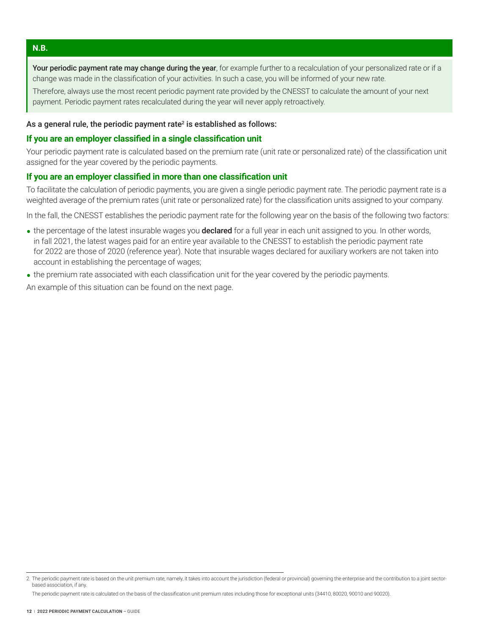#### <span id="page-13-0"></span>**N.B.**

Your periodic payment rate may change during the year, for example further to a recalculation of your personalized rate or if a change was made in the classification of your activities. In such a case, you will be informed of your new rate.

Therefore, always use the most recent periodic payment rate provided by the CNESST to calculate the amount of your next payment. Periodic payment rates recalculated during the year will never apply retroactively.

#### As a general rule, the periodic payment rate<sup>2</sup> is established as follows:

#### **If you are an employer classified in a single classification unit**

Your periodic payment rate is calculated based on the premium rate (unit rate or personalized rate) of the classification unit assigned for the year covered by the periodic payments.

## **If you are an employer classified in more than one classification unit**

To facilitate the calculation of periodic payments, you are given a single periodic payment rate. The periodic payment rate is a weighted average of the premium rates (unit rate or personalized rate) for the classification units assigned to your company.

In the fall, the CNESST establishes the periodic payment rate for the following year on the basis of the following two factors:

- the percentage of the latest insurable wages you **declared** for a full year in each unit assigned to you. In other words, in fall 2021, the latest wages paid for an entire year available to the CNESST to establish the periodic payment rate for 2022 are those of 2020 (reference year). Note that insurable wages declared for auxiliary workers are not taken into account in establishing the percentage of wages;
- the premium rate associated with each classification unit for the year covered by the periodic payments.

An example of this situation can be found on the next page.

<sup>2.</sup> The periodic payment rate is based on the unit premium rate, namely, it takes into account the jurisdiction (federal or provincial) governing the enterprise and the contribution to a joint sectorbased association, if any.

The periodic payment rate is calculated on the basis of the classification unit premium rates including those for exceptional units (34410, 80020, 90010 and 90020).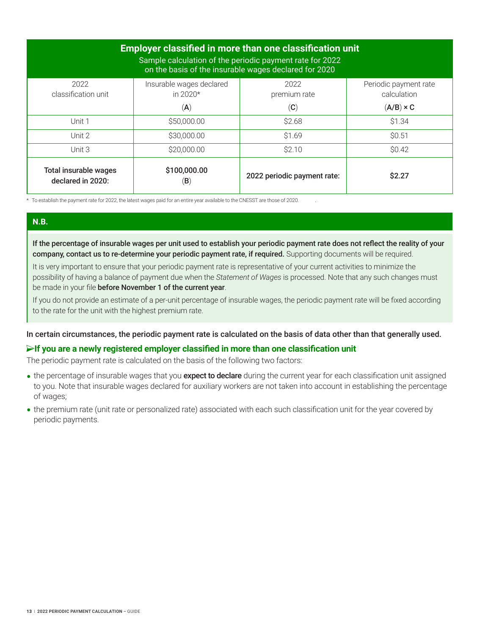| <b>Employer classified in more than one classification unit</b><br>Sample calculation of the periodic payment rate for 2022<br>on the basis of the insurable wages declared for 2020 |                                        |                             |                                      |  |  |  |
|--------------------------------------------------------------------------------------------------------------------------------------------------------------------------------------|----------------------------------------|-----------------------------|--------------------------------------|--|--|--|
| 2022<br>classification unit                                                                                                                                                          | Insurable wages declared<br>in $2020*$ | 2022<br>premium rate        | Periodic payment rate<br>calculation |  |  |  |
|                                                                                                                                                                                      | $(\mathsf{A})$                         | $\left( \mathbf{C}\right)$  | $(A/B) \times C$                     |  |  |  |
| Unit 1                                                                                                                                                                               | \$50,000.00                            | \$2.68                      | \$1.34                               |  |  |  |
| Unit 2                                                                                                                                                                               | \$30,000.00                            | \$1.69                      | \$0.51                               |  |  |  |
| Unit 3                                                                                                                                                                               | \$20,000.00                            | \$2.10                      | \$0.42                               |  |  |  |
| Total insurable wages<br>declared in 2020:                                                                                                                                           | \$100,000.00<br>(B)                    | 2022 periodic payment rate: | \$2.27                               |  |  |  |

\* To establish the payment rate for 2022, the latest wages paid for an entire year available to the CNESST are those of 2020. .

## **N.B.**

If the percentage of insurable wages per unit used to establish your periodic payment rate does not reflect the reality of your company, contact us to re-determine your periodic payment rate, if required. Supporting documents will be required.

It is very important to ensure that your periodic payment rate is representative of your current activities to minimize the possibility of having a balance of payment due when the *Statement of Wages* is processed. Note that any such changes must be made in your file before November 1 of the current year.

If you do not provide an estimate of a per-unit percentage of insurable wages, the periodic payment rate will be fixed according to the rate for the unit with the highest premium rate.

In certain circumstances, the periodic payment rate is calculated on the basis of data other than that generally used.

### **If you are a newly registered employer classified in more than one classification unit**

The periodic payment rate is calculated on the basis of the following two factors:

- the percentage of insurable wages that you **expect to declare** during the current year for each classification unit assigned to you. Note that insurable wages declared for auxiliary workers are not taken into account in establishing the percentage of wages;
- the premium rate (unit rate or personalized rate) associated with each such classification unit for the year covered by periodic payments.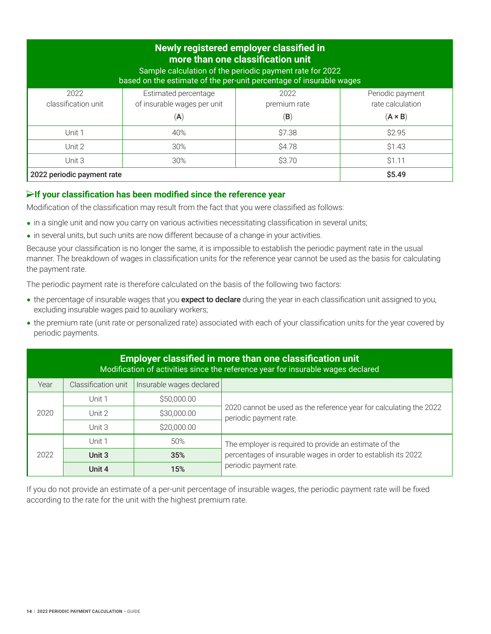| Newly registered employer classified in<br>more than one classification unit<br>Sample calculation of the periodic payment rate for 2022<br>based on the estimate of the per-unit percentage of insurable wages |                                                                       |                                        |                                                        |  |  |  |  |
|-----------------------------------------------------------------------------------------------------------------------------------------------------------------------------------------------------------------|-----------------------------------------------------------------------|----------------------------------------|--------------------------------------------------------|--|--|--|--|
| 2022<br>classification unit                                                                                                                                                                                     | Estimated percentage<br>of insurable wages per unit<br>$(\mathsf{A})$ | 2022<br>premium rate<br>$(\mathsf{B})$ | Periodic payment<br>rate calculation<br>$(A \times B)$ |  |  |  |  |
| Unit 1                                                                                                                                                                                                          | 40%                                                                   | \$7.38                                 | \$2.95                                                 |  |  |  |  |
| Unit 2                                                                                                                                                                                                          | 30%                                                                   | <b>\$4.78</b>                          | \$1.43                                                 |  |  |  |  |
| Unit 3                                                                                                                                                                                                          | 30%                                                                   | \$3.70                                 | \$1.11                                                 |  |  |  |  |
| 2022 periodic payment rate                                                                                                                                                                                      |                                                                       |                                        | \$5.49                                                 |  |  |  |  |

## **If your classification has been modified since the reference year**

Modification of the classification may result from the fact that you were classified as follows:

- in a single unit and now you carry on various activities necessitating classification in several units;
- in several units, but such units are now different because of a change in your activities.

Because your classification is no longer the same, it is impossible to establish the periodic payment rate in the usual manner. The breakdown of wages in classification units for the reference year cannot be used as the basis for calculating the payment rate.

The periodic payment rate is therefore calculated on the basis of the following two factors:

- the percentage of insurable wages that you expect to declare during the year in each classification unit assigned to you, excluding insurable wages paid to auxiliary workers;
- the premium rate (unit rate or personalized rate) associated with each of your classification units for the year covered by periodic payments.

| <b>Employer classified in more than one classification unit</b><br>Modification of activities since the reference year for insurable wages declared |                     |                          |                                                                                              |  |  |  |
|-----------------------------------------------------------------------------------------------------------------------------------------------------|---------------------|--------------------------|----------------------------------------------------------------------------------------------|--|--|--|
| Year                                                                                                                                                | Classification unit | Insurable wages declared |                                                                                              |  |  |  |
|                                                                                                                                                     | Unit 1              | \$50,000.00              |                                                                                              |  |  |  |
| 2020                                                                                                                                                | Unit 2              | \$30,000.00              | 2020 cannot be used as the reference year for calculating the 2022<br>periodic payment rate. |  |  |  |
|                                                                                                                                                     | Unit 3              | \$20,000.00              |                                                                                              |  |  |  |
|                                                                                                                                                     | Unit 1              | 50%                      | The employer is required to provide an estimate of the                                       |  |  |  |
| 2022                                                                                                                                                | Unit 3              | 35%                      | percentages of insurable wages in order to establish its 2022                                |  |  |  |
|                                                                                                                                                     | Unit 4              | 15%                      | periodic payment rate.                                                                       |  |  |  |

If you do not provide an estimate of a per-unit percentage of insurable wages, the periodic payment rate will be fixed according to the rate for the unit with the highest premium rate.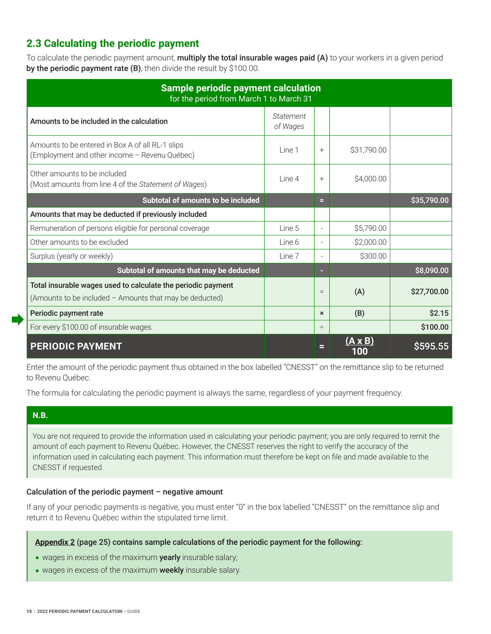# <span id="page-16-0"></span>**2.3 Calculating the periodic payment**

To calculate the periodic payment amount, **multiply the total insurable wages paid (A)** to your workers in a given period by the periodic payment rate (B), then divide the result by \$100.00.

| <b>Sample periodic payment calculation</b><br>for the period from March 1 to March 31                                   |                       |                           |                       |             |  |
|-------------------------------------------------------------------------------------------------------------------------|-----------------------|---------------------------|-----------------------|-------------|--|
| Amounts to be included in the calculation                                                                               | Statement<br>of Wages |                           |                       |             |  |
| Amounts to be entered in Box A of all RL-1 slips<br>(Employment and other income - Revenu Québec)                       | Line 1                | $^{+}$                    | \$31,790.00           |             |  |
| Other amounts to be included<br>(Most amounts from line 4 of the Statement of Wages)                                    | Line 4                | $+$                       | \$4,000.00            |             |  |
| Subtotal of amounts to be included                                                                                      |                       | Ξ                         |                       | \$35,790.00 |  |
| Amounts that may be deducted if previously included                                                                     |                       |                           |                       |             |  |
| Remuneration of persons eligible for personal coverage                                                                  | Line 5                |                           | \$5,790.00            |             |  |
| Other amounts to be excluded                                                                                            | Line 6                |                           | \$2,000.00            |             |  |
| Surplus (yearly or weekly)                                                                                              | Line 7                |                           | \$300.00              |             |  |
| Subtotal of amounts that may be deducted                                                                                |                       |                           |                       | \$8,090.00  |  |
| Total insurable wages used to calculate the periodic payment<br>(Amounts to be included - Amounts that may be deducted) |                       | $=$                       | (A)                   | \$27,700.00 |  |
| Periodic payment rate                                                                                                   |                       | $\boldsymbol{\mathsf{x}}$ | (B)                   | \$2.15      |  |
| For every \$100.00 of insurable wages                                                                                   |                       | ÷                         |                       | \$100.00    |  |
| <b>PERIODIC PAYMENT</b>                                                                                                 |                       |                           | $(A \times B)$<br>100 | \$595.55    |  |

Enter the amount of the periodic payment thus obtained in the box labelled "CNESST" on the remittance slip to be returned to Revenu Québec.

The formula for calculating the periodic payment is always the same, regardless of your payment frequency.

## **N.B.**

You are not required to provide the information used in calculating your periodic payment; you are only required to remit the amount of each payment to Revenu Québec. However, the CNESST reserves the right to verify the accuracy of the information used in calculating each payment. This information must therefore be kept on file and made available to the CNESST if requested.

### Calculation of the periodic payment – negative amount

If any of your periodic payments is negative, you must enter "0" in the box labelled "CNESST" on the remittance slip and return it to Revenu Québec within the stipulated time limit.

### **[Appendix 2](#page-26-0)** (page 25) contains sample calculations of the periodic payment for the following:

- wages in excess of the maximum yearly insurable salary;
- wages in excess of the maximum weekly insurable salary.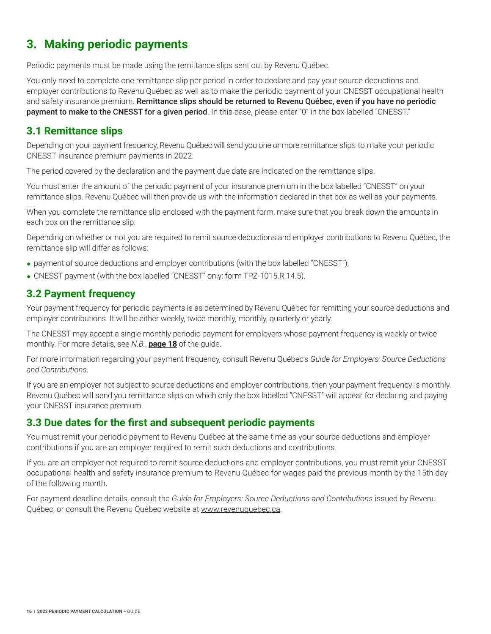# <span id="page-17-0"></span>**3. Making periodic payments**

Periodic payments must be made using the remittance slips sent out by Revenu Québec.

You only need to complete one remittance slip per period in order to declare and pay your source deductions and employer contributions to Revenu Québec as well as to make the periodic payment of your CNESST occupational health and safety insurance premium. Remittance slips should be returned to Revenu Québec, even if you have no periodic payment to make to the CNESST for a given period. In this case, please enter "0" in the box labelled "CNESST."

## **3.1 Remittance slips**

Depending on your payment frequency, Revenu Québec will send you one or more remittance slips to make your periodic CNESST insurance premium payments in 2022.

The period covered by the declaration and the payment due date are indicated on the remittance slips.

You must enter the amount of the periodic payment of your insurance premium in the box labelled "CNESST" on your remittance slips. Revenu Québec will then provide us with the information declared in that box as well as your payments.

When you complete the remittance slip enclosed with the payment form, make sure that you break down the amounts in each box on the remittance slip.

Depending on whether or not you are required to remit source deductions and employer contributions to Revenu Québec, the remittance slip will differ as follows:

- payment of source deductions and employer contributions (with the box labelled "CNESST");
- CNESST payment (with the box labelled "CNESST" only: form TPZ-1015.R.14.5).

## **3.2 Payment frequency**

Your payment frequency for periodic payments is as determined by Revenu Québec for remitting your source deductions and employer contributions. It will be either weekly, twice monthly, monthly, quarterly or yearly.

The CNESST may accept a single monthly periodic payment for employers whose payment frequency is weekly or twice monthly. For more details, see *N.B.*, **[page 18](#page-19-0)** of the guide.

For more information regarding your payment frequency, consult Revenu Québec's *Guide for Employers: Source Deductions and Contributions*.

If you are an employer not subject to source deductions and employer contributions, then your payment frequency is monthly. Revenu Québec will send you remittance slips on which only the box labelled "CNESST" will appear for declaring and paying your CNESST insurance premium.

## **3.3 Due dates for the first and subsequent periodic payments**

You must remit your periodic payment to Revenu Québec at the same time as your source deductions and employer contributions if you are an employer required to remit such deductions and contributions.

If you are an employer not required to remit source deductions and employer contributions, you must remit your CNESST occupational health and safety insurance premium to Revenu Québec for wages paid the previous month by the 15th day of the following month.

For payment deadline details, consult the *Guide for Employers: Source Deductions and Contributions* issued by Revenu Québec, or consult the Revenu Québec website at [www.revenuquebec.ca](https://www.revenuquebec.ca/en/).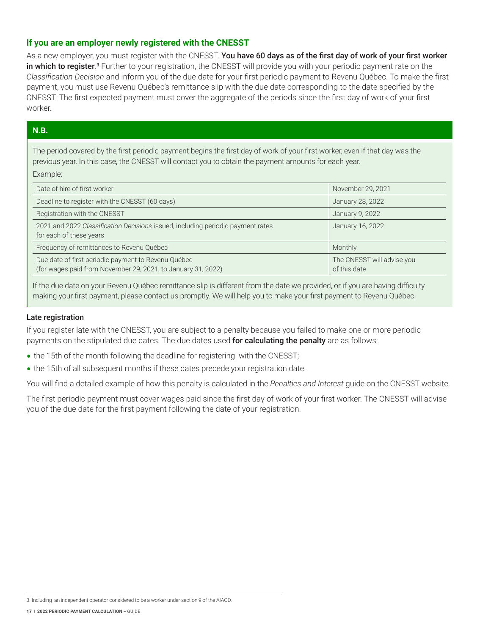## **If you are an employer newly registered with the CNESST**

As a new employer, you must register with the CNESST. You have 60 days as of the first day of work of your first worker **in which to register**.<sup>3</sup> Further to your registration, the CNESST will provide you with your periodic payment rate on the *Classification Decision* and inform you of the due date for your first periodic payment to Revenu Québec. To make the first payment, you must use Revenu Québec's remittance slip with the due date corresponding to the date specified by the CNESST. The first expected payment must cover the aggregate of the periods since the first day of work of your first worker.

## **N.B.**

The period covered by the first periodic payment begins the first day of work of your first worker, even if that day was the previous year. In this case, the CNESST will contact you to obtain the payment amounts for each year. Example:

| Date of hire of first worker                                                                                        | November 29, 2021                          |
|---------------------------------------------------------------------------------------------------------------------|--------------------------------------------|
| Deadline to register with the CNESST (60 days)                                                                      | January 28, 2022                           |
| Registration with the CNESST                                                                                        | January 9, 2022                            |
| 2021 and 2022 Classification Decisions issued, including periodic payment rates<br>for each of these years          | January 16, 2022                           |
| Frequency of remittances to Revenu Québec                                                                           | Monthly                                    |
| Due date of first periodic payment to Revenu Québec<br>(for wages paid from November 29, 2021, to January 31, 2022) | The CNESST will advise you<br>of this date |

If the due date on your Revenu Québec remittance slip is different from the date we provided, or if you are having difficulty making your first payment, please contact us promptly. We will help you to make your first payment to Revenu Québec.

#### Late registration

If you register late with the CNESST, you are subject to a penalty because you failed to make one or more periodic payments on the stipulated due dates. The due dates used for calculating the penalty are as follows:

- the 15th of the month following the deadline for registering with the CNESST;
- the 15th of all subsequent months if these dates precede your registration date.

You will find a detailed example of how this penalty is calculated in the *Penalties and Interest* guide on the CNESST website.

The first periodic payment must cover wages paid since the first day of work of your first worker. The CNESST will advise you of the due date for the first payment following the date of your registration.

3. Including an independent operator considered to be a worker under section 9 of the AIAOD.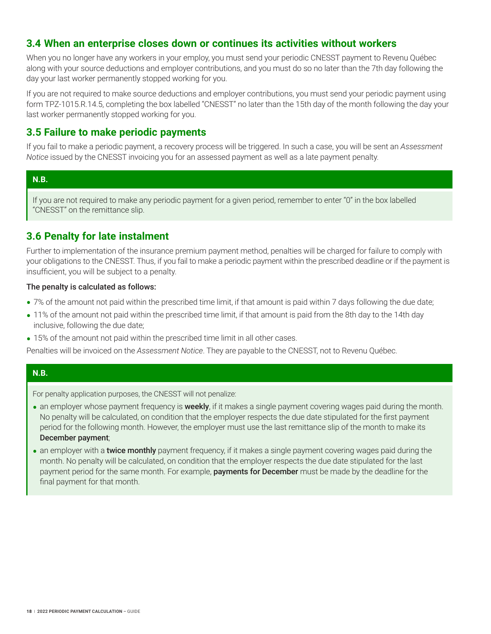## <span id="page-19-0"></span>**3.4 When an enterprise closes down or continues its activities without workers**

When you no longer have any workers in your employ, you must send your periodic CNESST payment to Revenu Québec along with your source deductions and employer contributions, and you must do so no later than the 7th day following the day your last worker permanently stopped working for you.

If you are not required to make source deductions and employer contributions, you must send your periodic payment using form TPZ-1015.R.14.5, completing the box labelled "CNESST" no later than the 15th day of the month following the day your last worker permanently stopped working for you.

## **3.5 Failure to make periodic payments**

If you fail to make a periodic payment, a recovery process will be triggered. In such a case, you will be sent an *Assessment Notice* issued by the CNESST invoicing you for an assessed payment as well as a late payment penalty.

## **N.B.**

If you are not required to make any periodic payment for a given period, remember to enter "0" in the box labelled "CNESST" on the remittance slip.

## **3.6 Penalty for late instalment**

Further to implementation of the insurance premium payment method, penalties will be charged for failure to comply with your obligations to the CNESST. Thus, if you fail to make a periodic payment within the prescribed deadline or if the payment is insufficient, you will be subject to a penalty.

### The penalty is calculated as follows:

- 7% of the amount not paid within the prescribed time limit, if that amount is paid within 7 days following the due date;
- 11% of the amount not paid within the prescribed time limit, if that amount is paid from the 8th day to the 14th day inclusive, following the due date;
- 15% of the amount not paid within the prescribed time limit in all other cases.

Penalties will be invoiced on the *Assessment Notice*. They are payable to the CNESST, not to Revenu Québec.

### **N.B.**

For penalty application purposes, the CNESST will not penalize:

- an employer whose payment frequency is **weekly**, if it makes a single payment covering wages paid during the month. No penalty will be calculated, on condition that the employer respects the due date stipulated for the first payment period for the following month. However, the employer must use the last remittance slip of the month to make its December payment;
- an employer with a **twice monthly** payment frequency, if it makes a single payment covering wages paid during the month. No penalty will be calculated, on condition that the employer respects the due date stipulated for the last payment period for the same month. For example, **payments for December** must be made by the deadline for the final payment for that month.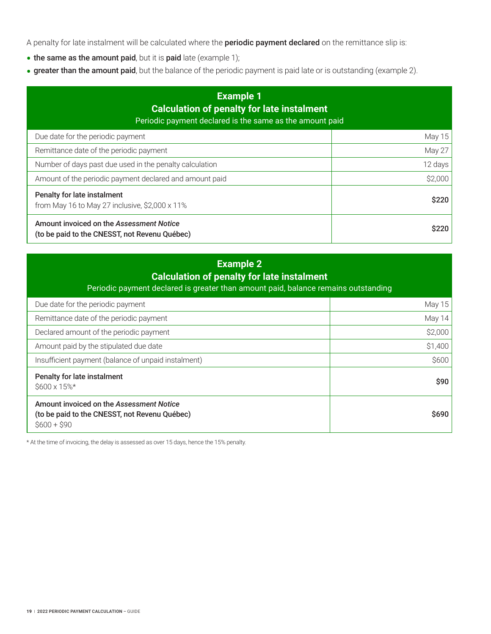A penalty for late instalment will be calculated where the **periodic payment declared** on the remittance slip is:

- the same as the amount paid, but it is paid late (example 1);
- greater than the amount paid, but the balance of the periodic payment is paid late or is outstanding (example 2).

| <b>Example 1</b><br><b>Calculation of penalty for late instalment</b><br>Periodic payment declared is the same as the amount paid |               |  |  |  |
|-----------------------------------------------------------------------------------------------------------------------------------|---------------|--|--|--|
| Due date for the periodic payment                                                                                                 | <b>May 15</b> |  |  |  |
| Remittance date of the periodic payment                                                                                           | May 27        |  |  |  |
| Number of days past due used in the penalty calculation                                                                           | 12 days       |  |  |  |
| Amount of the periodic payment declared and amount paid                                                                           | \$2,000       |  |  |  |
| Penalty for late instalment<br>from May 16 to May 27 inclusive, \$2,000 x 11%                                                     | \$220         |  |  |  |
| Amount invoiced on the Assessment Notice<br>(to be paid to the CNESST, not Revenu Québec)                                         | \$220         |  |  |  |

# **Example 2 Calculation of penalty for late instalment**

Periodic payment declared is greater than amount paid, balance remains outstanding

| Due date for the periodic payment                   | <b>May 15</b> |
|-----------------------------------------------------|---------------|
| Remittance date of the periodic payment             | May 14        |
| Declared amount of the periodic payment             | \$2,000       |
| Amount paid by the stipulated due date              | \$1,400       |
| Insufficient payment (balance of unpaid instalment) | \$600         |
|                                                     |               |
| Penalty for late instalment<br>\$600 x 15%*         | \$90          |

\* At the time of invoicing, the delay is assessed as over 15 days, hence the 15% penalty.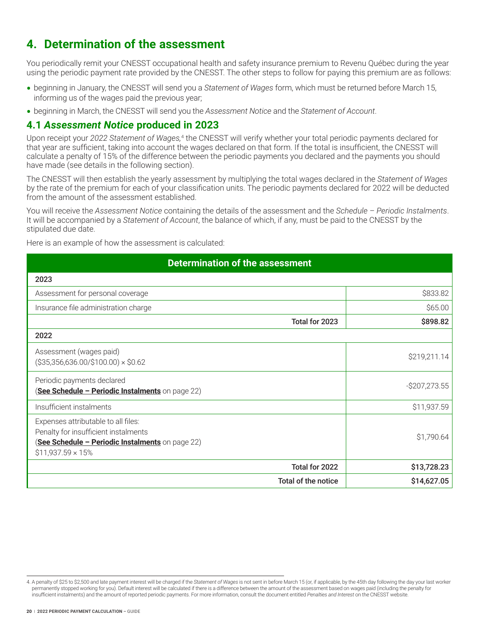# <span id="page-21-0"></span>**4. Determination of the assessment**

You periodically remit your CNESST occupational health and safety insurance premium to Revenu Québec during the year using the periodic payment rate provided by the CNESST. The other steps to follow for paying this premium are as follows:

- **•** beginning in January, the CNESST will send you a *Statement of Wages* form, which must be returned before March 15, informing us of the wages paid the previous year;
- **•** beginning in March, the CNESST will send you the *Assessment Notice* and the *Statement of Account*.

## **4.1** *Assessment Notice* **produced in 2023**

Upon receipt your *2022 Statement of Wages,*<sup>4</sup> the CNESST will verify whether your total periodic payments declared for that year are sufficient, taking into account the wages declared on that form. If the total is insufficient, the CNESST will calculate a penalty of 15% of the difference between the periodic payments you declared and the payments you should have made (see details in the following section).

The CNESST will then establish the yearly assessment by multiplying the total wages declared in the *Statement of Wages* by the rate of the premium for each of your classification units. The periodic payments declared for 2022 will be deducted from the amount of the assessment established.

You will receive the *Assessment Notice* containing the details of the assessment and the *Schedule – Periodic Instalments*. It will be accompanied by a *Statement of Account*, the balance of which, if any, must be paid to the CNESST by the stipulated due date.

Here is an example of how the assessment is calculated:

## **Determination of the assessment**

| 2023                                                                                                                                                        |                                    |
|-------------------------------------------------------------------------------------------------------------------------------------------------------------|------------------------------------|
| Assessment for personal coverage                                                                                                                            | \$833.82                           |
| Insurance file administration charge                                                                                                                        | \$65.00                            |
|                                                                                                                                                             | \$898.82<br>Total for 2023         |
| 2022                                                                                                                                                        |                                    |
| Assessment (wages paid)<br>$($35,356,636.00/\$100.00) \times $0.62$                                                                                         | \$219,211.14                       |
| Periodic payments declared<br>(See Schedule - Periodic Instalments on page 22)                                                                              | $-$207,273.55$                     |
| Insufficient instalments                                                                                                                                    | \$11,937.59                        |
| Expenses attributable to all files:<br>Penalty for insufficient instalments<br>(See Schedule - Periodic Instalments on page 22)<br>$$11,937.59 \times 15\%$ | \$1,790.64                         |
|                                                                                                                                                             | Total for 2022<br>\$13,728.23      |
|                                                                                                                                                             | Total of the notice<br>\$14,627.05 |

<sup>4.</sup> A penalty of \$25 to \$2,500 and late payment interest will be charged if the *Statement of Wages* is not sent in before March 15 (or, if applicable, by the 45th day following the day your last worker permanently stopped working for you). Default interest will be calculated if there is a difference between the amount of the assessment based on wages paid (including the penalty for insufficient instalments) and the amount of reported periodic payments. For more information, consult the document entitled *Penalties and Interest* on the CNESST website.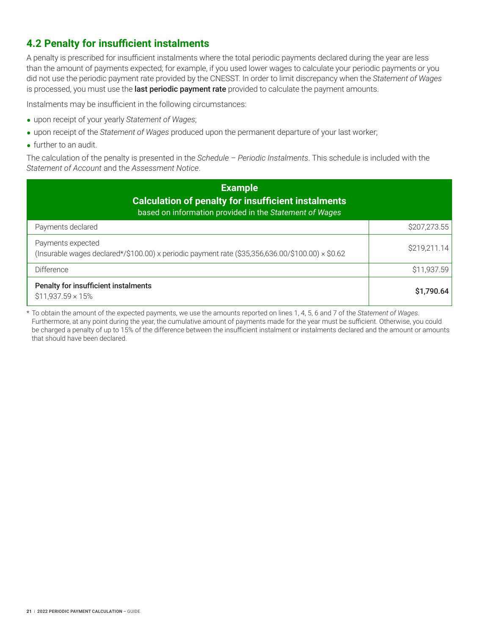# <span id="page-22-0"></span>**4.2 Penalty for insufficient instalments**

A penalty is prescribed for insufficient instalments where the total periodic payments declared during the year are less than the amount of payments expected; for example, if you used lower wages to calculate your periodic payments or you did not use the periodic payment rate provided by the CNESST. In order to limit discrepancy when the *Statement of Wages* is processed, you must use the last periodic payment rate provided to calculate the payment amounts.

Instalments may be insufficient in the following circumstances:

- **•** upon receipt of your yearly *Statement of Wages*;
- **•** upon receipt of the *Statement of Wages* produced upon the permanent departure of your last worker;
- further to an audit.

The calculation of the penalty is presented in the *Schedule – Periodic Instalments*. This schedule is included with the *Statement of Account* and the *Assessment Notice*.

| <b>Example</b><br><b>Calculation of penalty for insufficient instalments</b><br>based on information provided in the Statement of Wages |              |  |  |  |
|-----------------------------------------------------------------------------------------------------------------------------------------|--------------|--|--|--|
| Payments declared                                                                                                                       | \$207,273.55 |  |  |  |
| Payments expected<br>(Insurable wages declared*/\$100.00) x periodic payment rate (\$35,356,636.00/\$100.00) × \$0.62                   | \$219,211.14 |  |  |  |
| Difference                                                                                                                              | \$11,937.59  |  |  |  |
| Penalty for insufficient instalments<br>$$11,937.59 \times 15\%$                                                                        | \$1,790.64   |  |  |  |

\* To obtain the amount of the expected payments, we use the amounts reported on lines 1, 4, 5, 6 and 7 of the *Statement of Wages*. Furthermore, at any point during the year, the cumulative amount of payments made for the year must be sufficient. Otherwise, you could be charged a penalty of up to 15% of the difference between the insufficient instalment or instalments declared and the amount or amounts that should have been declared.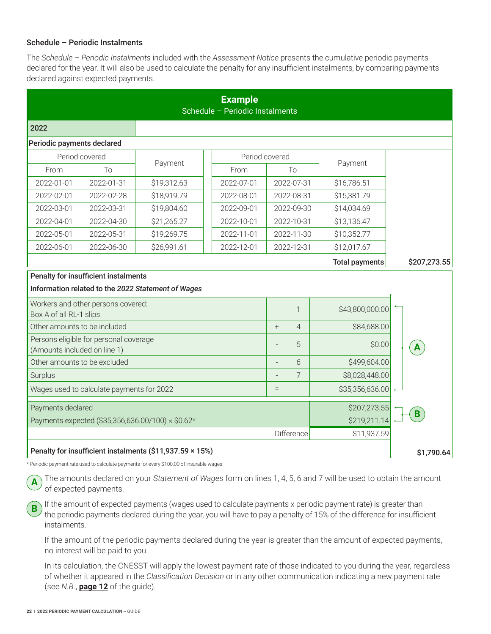### <span id="page-23-0"></span>Schedule – Periodic Instalments

The *Schedule – Periodic Instalments* included with the *Assessment Notice* presents the cumulative periodic payments declared for the year. It will also be used to calculate the penalty for any insufficient instalments, by comparing payments declared against expected payments.

| <b>Example</b><br>Schedule - Periodic Instalments                      |                                      |                                                    |            |                |                |                       |                         |
|------------------------------------------------------------------------|--------------------------------------|----------------------------------------------------|------------|----------------|----------------|-----------------------|-------------------------|
| 2022                                                                   |                                      |                                                    |            |                |                |                       |                         |
| Periodic payments declared                                             |                                      |                                                    |            |                |                |                       |                         |
|                                                                        | Period covered                       | Payment                                            |            | Period covered |                | Payment               |                         |
| From                                                                   | To                                   |                                                    | From       |                | Tο             |                       |                         |
| 2022-01-01                                                             | 2022-01-31                           | \$19,312.63                                        | 2022-07-01 |                | 2022-07-31     | \$16,786.51           |                         |
| 2022-02-01                                                             | 2022-02-28                           | \$18,919.79                                        | 2022-08-01 |                | 2022-08-31     | \$15,381.79           |                         |
| 2022-03-01                                                             | 2022-03-31                           | \$19,804.60                                        | 2022-09-01 |                | 2022-09-30     | \$14,034.69           |                         |
| 2022-04-01                                                             | 2022-04-30                           | \$21,265.27                                        | 2022-10-01 |                | 2022-10-31     | \$13,136.47           |                         |
| 2022-05-01                                                             | 2022-05-31                           | \$19,269.75                                        | 2022-11-01 |                | 2022-11-30     | \$10,352.77           |                         |
| 2022-06-01                                                             | 2022-06-30                           | \$26,991.61                                        | 2022-12-01 |                | 2022-12-31     | \$12,017.67           |                         |
|                                                                        |                                      |                                                    |            |                |                | <b>Total payments</b> | \$207,273.55            |
|                                                                        | Penalty for insufficient instalments |                                                    |            |                |                |                       |                         |
|                                                                        |                                      | Information related to the 2022 Statement of Wages |            |                |                |                       |                         |
| Box A of all RL-1 slips                                                | Workers and other persons covered:   |                                                    |            |                | $\mathbf 1$    | \$43,800,000.00       |                         |
| Other amounts to be included                                           |                                      |                                                    |            | $+$            | $\overline{4}$ | \$84,688.00           |                         |
| Persons eligible for personal coverage<br>(Amounts included on line 1) |                                      |                                                    |            |                | 5              | \$0.00                | $\overline{\mathbf{A}}$ |
| Other amounts to be excluded                                           |                                      |                                                    |            |                | 6              | \$499,604.00          |                         |
| Surplus                                                                |                                      |                                                    |            | 7              | \$8,028,448.00 |                       |                         |
| Wages used to calculate payments for 2022                              |                                      |                                                    |            |                |                | \$35,356,636.00       |                         |
| Payments declared<br>$-$ \$207,273.55                                  |                                      |                                                    |            |                | B              |                       |                         |
| Payments expected (\$35,356,636.00/100) × \$0.62*                      |                                      |                                                    |            |                |                | \$219,211.14          |                         |
| Difference<br>\$11,937.59                                              |                                      |                                                    |            |                |                |                       |                         |
| Penalty for insufficient instalments (\$11,937.59 × 15%)               |                                      |                                                    |            |                |                | \$1,790.64            |                         |

\* Periodic payment rate used to calculate payments for every \$100.00 of insurable wages.

The amounts declared on your *Statement of Wages* form on lines 1, 4, 5, 6 and 7 will be used to obtain the amount of expected payments.

If the amount of expected payments (wages used to calculate payments x periodic payment rate) is greater than the periodic payments declared during the year, you will have to pay a penalty of 15% of the difference for insufficient instalments.

If the amount of the periodic payments declared during the year is greater than the amount of expected payments, no interest will be paid to you.

In its calculation, the CNESST will apply the lowest payment rate of those indicated to you during the year, regardless of whether it appeared in the *Classification Decision* or in any other communication indicating a new payment rate (see *N.B.*, **[page 12](#page-13-0)** of the guide).

**B**

**A**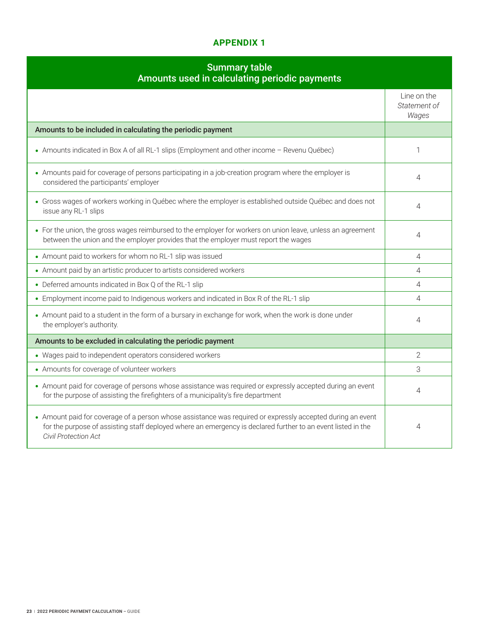## **Appendix 1**

## Summary table Amounts used in calculating periodic payments

<span id="page-24-0"></span>

| Amounts used in calculating periodic payments                                                                                                                                                                                                             |                                      |
|-----------------------------------------------------------------------------------------------------------------------------------------------------------------------------------------------------------------------------------------------------------|--------------------------------------|
|                                                                                                                                                                                                                                                           | Line on the<br>Statement of<br>Wages |
| Amounts to be included in calculating the periodic payment                                                                                                                                                                                                |                                      |
| • Amounts indicated in Box A of all RL-1 slips (Employment and other income - Revenu Québec)                                                                                                                                                              | 1                                    |
| • Amounts paid for coverage of persons participating in a job-creation program where the employer is<br>considered the participants' employer                                                                                                             | 4                                    |
| • Gross wages of workers working in Québec where the employer is established outside Québec and does not<br>issue any RL-1 slips                                                                                                                          | 4                                    |
| • For the union, the gross wages reimbursed to the employer for workers on union leave, unless an agreement<br>between the union and the employer provides that the employer must report the wages                                                        | 4                                    |
| • Amount paid to workers for whom no RL-1 slip was issued                                                                                                                                                                                                 | 4                                    |
| • Amount paid by an artistic producer to artists considered workers                                                                                                                                                                                       | 4                                    |
| • Deferred amounts indicated in Box Q of the RL-1 slip                                                                                                                                                                                                    | 4                                    |
| • Employment income paid to Indigenous workers and indicated in Box R of the RL-1 slip                                                                                                                                                                    | 4                                    |
| • Amount paid to a student in the form of a bursary in exchange for work, when the work is done under<br>the employer's authority.                                                                                                                        | 4                                    |
| Amounts to be excluded in calculating the periodic payment                                                                                                                                                                                                |                                      |
| • Wages paid to independent operators considered workers                                                                                                                                                                                                  | $\overline{2}$                       |
| • Amounts for coverage of volunteer workers                                                                                                                                                                                                               | 3                                    |
| • Amount paid for coverage of persons whose assistance was required or expressly accepted during an event<br>for the purpose of assisting the firefighters of a municipality's fire department                                                            | 4                                    |
| • Amount paid for coverage of a person whose assistance was required or expressly accepted during an event<br>for the purpose of assisting staff deployed where an emergency is declared further to an event listed in the<br><b>Civil Protection Act</b> | 4                                    |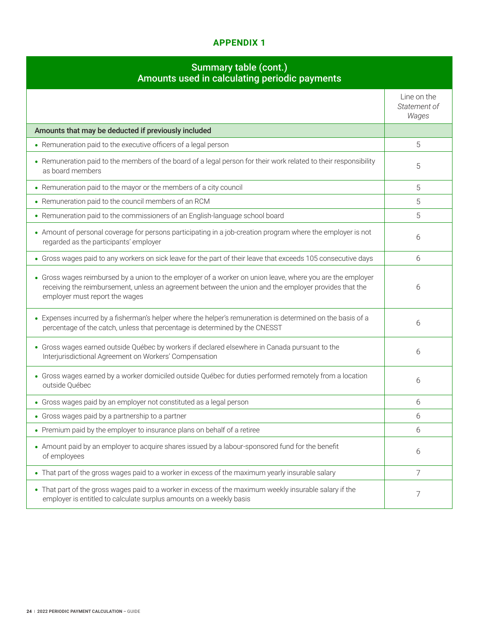## **Appendix 1**

## Summary table (cont.) Amounts used in calculating periodic payments

| Amounts used in calculating periodic payments                                                                                                                                                                                                         |                                      |
|-------------------------------------------------------------------------------------------------------------------------------------------------------------------------------------------------------------------------------------------------------|--------------------------------------|
|                                                                                                                                                                                                                                                       | Line on the<br>Statement of<br>Wages |
| Amounts that may be deducted if previously included                                                                                                                                                                                                   |                                      |
| • Remuneration paid to the executive officers of a legal person                                                                                                                                                                                       | 5                                    |
| • Remuneration paid to the members of the board of a legal person for their work related to their responsibility<br>as board members                                                                                                                  | 5                                    |
| • Remuneration paid to the mayor or the members of a city council                                                                                                                                                                                     | 5                                    |
| • Remuneration paid to the council members of an RCM                                                                                                                                                                                                  | 5                                    |
| • Remuneration paid to the commissioners of an English-language school board                                                                                                                                                                          | 5                                    |
| • Amount of personal coverage for persons participating in a job-creation program where the employer is not<br>regarded as the participants' employer                                                                                                 | 6                                    |
| • Gross wages paid to any workers on sick leave for the part of their leave that exceeds 105 consecutive days                                                                                                                                         | 6                                    |
| • Gross wages reimbursed by a union to the employer of a worker on union leave, where you are the employer<br>receiving the reimbursement, unless an agreement between the union and the employer provides that the<br>employer must report the wages | 6                                    |
| • Expenses incurred by a fisherman's helper where the helper's remuneration is determined on the basis of a<br>percentage of the catch, unless that percentage is determined by the CNESST                                                            | 6                                    |
| • Gross wages earned outside Québec by workers if declared elsewhere in Canada pursuant to the<br>Interjurisdictional Agreement on Workers' Compensation                                                                                              | 6                                    |
| • Gross wages earned by a worker domiciled outside Québec for duties performed remotely from a location<br>outside Québec                                                                                                                             | 6                                    |
| • Gross wages paid by an employer not constituted as a legal person                                                                                                                                                                                   | 6                                    |
| • Gross wages paid by a partnership to a partner                                                                                                                                                                                                      | 6                                    |
| • Premium paid by the employer to insurance plans on behalf of a retiree                                                                                                                                                                              | 6                                    |
| • Amount paid by an employer to acquire shares issued by a labour-sponsored fund for the benefit<br>of employees                                                                                                                                      | 6                                    |
| • That part of the gross wages paid to a worker in excess of the maximum yearly insurable salary                                                                                                                                                      | $\overline{7}$                       |
| • That part of the gross wages paid to a worker in excess of the maximum weekly insurable salary if the<br>employer is entitled to calculate surplus amounts on a weekly basis                                                                        | 7                                    |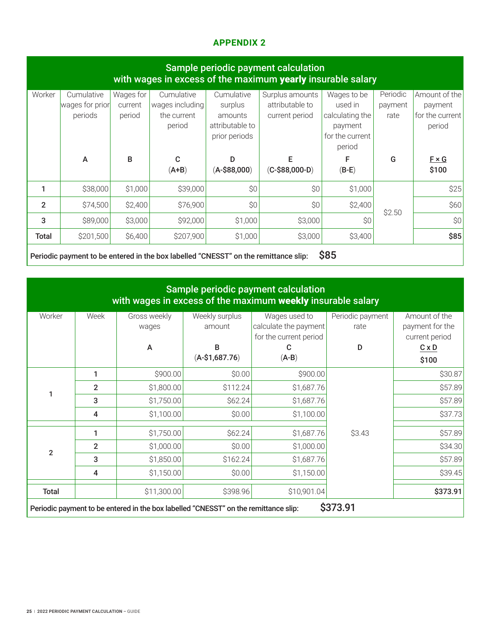## **Appendix 2**

<span id="page-26-0"></span>

| Sample periodic payment calculation<br>with wages in excess of the maximum yearly insurable salary |                                          |                                |                                                        |                                                                      |                                                      |                                                                                   |                             |                                                       |
|----------------------------------------------------------------------------------------------------|------------------------------------------|--------------------------------|--------------------------------------------------------|----------------------------------------------------------------------|------------------------------------------------------|-----------------------------------------------------------------------------------|-----------------------------|-------------------------------------------------------|
| Worker                                                                                             | Cumulative<br>wages for prior<br>periods | Wages for<br>current<br>period | Cumulative<br>wages including<br>the current<br>period | Cumulative<br>surplus<br>amounts<br>attributable to<br>prior periods | Surplus amounts<br>attributable to<br>current period | Wages to be<br>used in<br>calculating the<br>payment<br>for the current<br>period | Periodic<br>payment<br>rate | Amount of the<br>payment<br>for the current<br>period |
|                                                                                                    | A                                        | B                              | C<br>$(A+B)$                                           | D<br>$(A-$88,000)$                                                   | E<br>$(C-$88,000-D)$                                 | $(B-E)$                                                                           | G                           | $F \times G$<br>\$100                                 |
|                                                                                                    | \$38,000                                 | \$1,000                        | \$39,000                                               | \$0                                                                  | \$0                                                  | \$1,000                                                                           |                             | \$25                                                  |
| $\overline{2}$                                                                                     | \$74,500                                 | \$2,400                        | \$76,900                                               | \$0                                                                  | \$0                                                  | \$2,400                                                                           | \$2.50                      | \$60                                                  |
| 3                                                                                                  | \$89,000                                 | \$3,000                        | \$92,000                                               | \$1,000                                                              | \$3,000                                              | \$0                                                                               |                             | \$0                                                   |
| <b>Total</b>                                                                                       | \$201,500                                | \$6,400                        | \$207,900                                              | \$1,000                                                              | \$3,000                                              | \$3,400                                                                           |                             | \$85                                                  |

Periodic payment to be entered in the box labelled "CNESST" on the remittance slip: \$85

| Sample periodic payment calculation<br>with wages in excess of the maximum weekly insurable salary |                |                       |                          |                                                                  |                          |                                                    |  |
|----------------------------------------------------------------------------------------------------|----------------|-----------------------|--------------------------|------------------------------------------------------------------|--------------------------|----------------------------------------------------|--|
| Worker<br>Week                                                                                     |                | Gross weekly<br>wages | Weekly surplus<br>amount | Wages used to<br>calculate the payment<br>for the current period | Periodic payment<br>rate | Amount of the<br>payment for the<br>current period |  |
|                                                                                                    |                | A                     | B<br>$(A-$1,687.76)$     | C<br>$(A-B)$                                                     | D                        | $C \times D$<br>\$100                              |  |
|                                                                                                    |                |                       |                          |                                                                  |                          |                                                    |  |
|                                                                                                    | 1              | \$900.00              | \$0.00                   | \$900.00                                                         |                          | \$30.87                                            |  |
| 1                                                                                                  | $\overline{2}$ | \$1,800.00            | \$112.24                 | \$1,687.76                                                       |                          | \$57.89                                            |  |
|                                                                                                    | 3              | \$1,750.00            | \$62.24                  | \$1,687.76                                                       |                          | \$57.89                                            |  |
|                                                                                                    | 4              | \$1,100.00            | \$0.00                   | \$1,100.00                                                       |                          | \$37.73                                            |  |
| $\overline{2}$                                                                                     | 1              | \$1,750.00            | \$62.24                  | \$1,687.76                                                       | \$3.43                   | \$57.89                                            |  |
|                                                                                                    | $\overline{2}$ | \$1,000.00            | \$0.00                   | \$1,000.00                                                       |                          | \$34.30                                            |  |
|                                                                                                    | 3              | \$1,850.00            | \$162.24                 | \$1,687.76                                                       |                          | \$57.89                                            |  |
|                                                                                                    | 4              | \$1,150.00            | \$0.00                   | \$1,150.00                                                       |                          | \$39.45                                            |  |
| <b>Total</b>                                                                                       |                | \$11,300.00           | \$398.96                 | \$10,901.04                                                      |                          | \$373.91                                           |  |
| \$373.91<br>Periodic payment to be entered in the box labelled "CNESST" on the remittance slip:    |                |                       |                          |                                                                  |                          |                                                    |  |